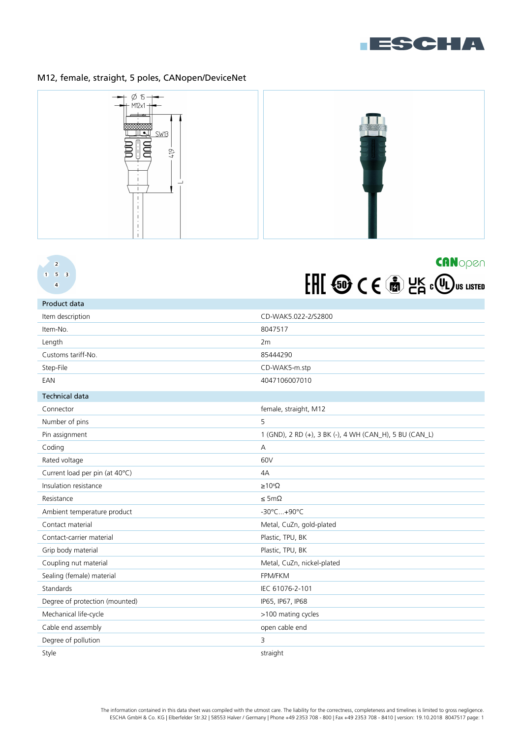

# M12, female, straight, 5 poles, CANopen/DeviceNet



## $\overline{2}$  $1 \t5 \t3$  $\overline{a}$



| Product data                   |                                                         |
|--------------------------------|---------------------------------------------------------|
| Item description               | CD-WAK5.022-2/S2800                                     |
| Item-No.                       | 8047517                                                 |
| Length                         | 2m                                                      |
| Customs tariff-No.             | 85444290                                                |
| Step-File                      | CD-WAK5-m.stp                                           |
| EAN                            | 4047106007010                                           |
| <b>Technical data</b>          |                                                         |
| Connector                      | female, straight, M12                                   |
| Number of pins                 | 5                                                       |
| Pin assignment                 | 1 (GND), 2 RD (+), 3 BK (-), 4 WH (CAN_H), 5 BU (CAN_L) |
| Coding                         | $\overline{A}$                                          |
| Rated voltage                  | 60V                                                     |
| Current load per pin (at 40°C) | 4A                                                      |
| Insulation resistance          | $\geq 10^8 \Omega$                                      |
| Resistance                     | $\leq$ 5m $\Omega$                                      |
| Ambient temperature product    | -30°C+90°C                                              |
| Contact material               | Metal, CuZn, gold-plated                                |
| Contact-carrier material       | Plastic, TPU, BK                                        |
| Grip body material             | Plastic, TPU, BK                                        |
| Coupling nut material          | Metal, CuZn, nickel-plated                              |
| Sealing (female) material      | FPM/FKM                                                 |
| Standards                      | IEC 61076-2-101                                         |
| Degree of protection (mounted) | IP65, IP67, IP68                                        |
| Mechanical life-cycle          | >100 mating cycles                                      |
| Cable end assembly             | open cable end                                          |
| Degree of pollution            | $\overline{3}$                                          |
| Style                          | straight                                                |